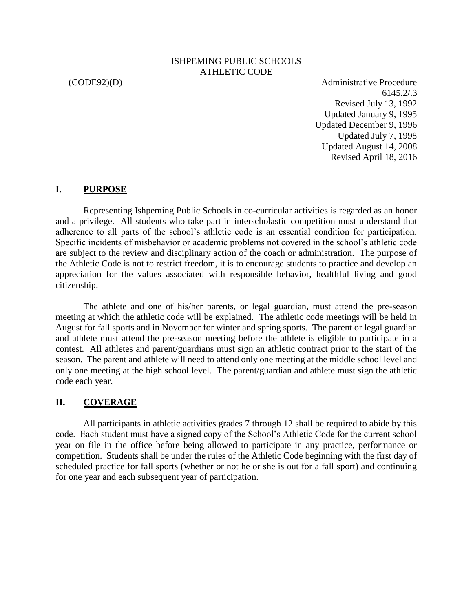#### ISHPEMING PUBLIC SCHOOLS ATHLETIC CODE

(CODE92)(D) Administrative Procedure 6145.2/.3 Revised July 13, 1992 Updated January 9, 1995 Updated December 9, 1996 Updated July 7, 1998 Updated August 14, 2008 Revised April 18, 2016

#### **I. PURPOSE**

Representing Ishpeming Public Schools in co-curricular activities is regarded as an honor and a privilege. All students who take part in interscholastic competition must understand that adherence to all parts of the school's athletic code is an essential condition for participation. Specific incidents of misbehavior or academic problems not covered in the school's athletic code are subject to the review and disciplinary action of the coach or administration. The purpose of the Athletic Code is not to restrict freedom, it is to encourage students to practice and develop an appreciation for the values associated with responsible behavior, healthful living and good citizenship.

The athlete and one of his/her parents, or legal guardian, must attend the pre-season meeting at which the athletic code will be explained. The athletic code meetings will be held in August for fall sports and in November for winter and spring sports. The parent or legal guardian and athlete must attend the pre-season meeting before the athlete is eligible to participate in a contest. All athletes and parent/guardians must sign an athletic contract prior to the start of the season. The parent and athlete will need to attend only one meeting at the middle school level and only one meeting at the high school level. The parent/guardian and athlete must sign the athletic code each year.

#### **II. COVERAGE**

All participants in athletic activities grades 7 through 12 shall be required to abide by this code. Each student must have a signed copy of the School's Athletic Code for the current school year on file in the office before being allowed to participate in any practice, performance or competition. Students shall be under the rules of the Athletic Code beginning with the first day of scheduled practice for fall sports (whether or not he or she is out for a fall sport) and continuing for one year and each subsequent year of participation.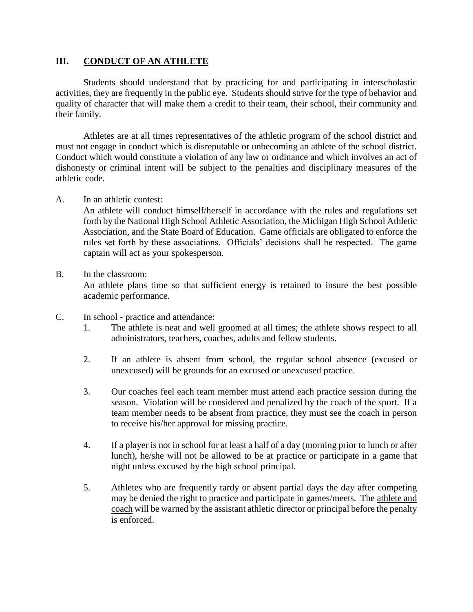#### **III. CONDUCT OF AN ATHLETE**

Students should understand that by practicing for and participating in interscholastic activities, they are frequently in the public eye. Students should strive for the type of behavior and quality of character that will make them a credit to their team, their school, their community and their family.

Athletes are at all times representatives of the athletic program of the school district and must not engage in conduct which is disreputable or unbecoming an athlete of the school district. Conduct which would constitute a violation of any law or ordinance and which involves an act of dishonesty or criminal intent will be subject to the penalties and disciplinary measures of the athletic code.

### A. In an athletic contest:

An athlete will conduct himself/herself in accordance with the rules and regulations set forth by the National High School Athletic Association, the Michigan High School Athletic Association, and the State Board of Education. Game officials are obligated to enforce the rules set forth by these associations. Officials' decisions shall be respected. The game captain will act as your spokesperson.

#### B. In the classroom:

An athlete plans time so that sufficient energy is retained to insure the best possible academic performance.

- C. In school practice and attendance:
	- 1. The athlete is neat and well groomed at all times; the athlete shows respect to all administrators, teachers, coaches, adults and fellow students.
	- 2. If an athlete is absent from school, the regular school absence (excused or unexcused) will be grounds for an excused or unexcused practice.
	- 3. Our coaches feel each team member must attend each practice session during the season. Violation will be considered and penalized by the coach of the sport. If a team member needs to be absent from practice, they must see the coach in person to receive his/her approval for missing practice.
	- 4. If a player is not in school for at least a half of a day (morning prior to lunch or after lunch), he/she will not be allowed to be at practice or participate in a game that night unless excused by the high school principal.
	- 5. Athletes who are frequently tardy or absent partial days the day after competing may be denied the right to practice and participate in games/meets. The athlete and coach will be warned by the assistant athletic director or principal before the penalty is enforced.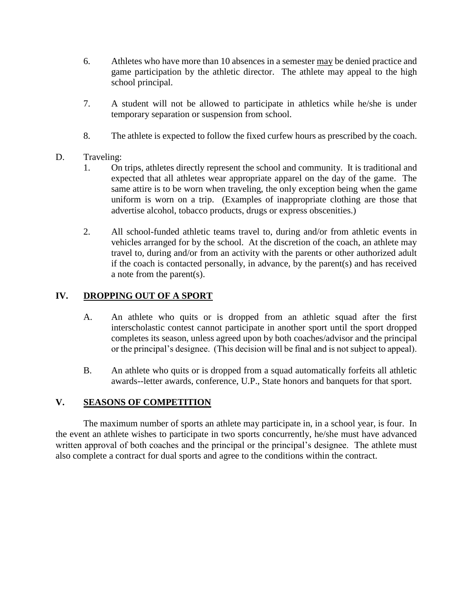- 6. Athletes who have more than 10 absences in a semester may be denied practice and game participation by the athletic director. The athlete may appeal to the high school principal.
- 7. A student will not be allowed to participate in athletics while he/she is under temporary separation or suspension from school.
- 8. The athlete is expected to follow the fixed curfew hours as prescribed by the coach.

# D. Traveling:

- 1. On trips, athletes directly represent the school and community. It is traditional and expected that all athletes wear appropriate apparel on the day of the game. The same attire is to be worn when traveling, the only exception being when the game uniform is worn on a trip. (Examples of inappropriate clothing are those that advertise alcohol, tobacco products, drugs or express obscenities.)
- 2. All school-funded athletic teams travel to, during and/or from athletic events in vehicles arranged for by the school. At the discretion of the coach, an athlete may travel to, during and/or from an activity with the parents or other authorized adult if the coach is contacted personally, in advance, by the parent(s) and has received a note from the parent(s).

# **IV. DROPPING OUT OF A SPORT**

- A. An athlete who quits or is dropped from an athletic squad after the first interscholastic contest cannot participate in another sport until the sport dropped completes its season, unless agreed upon by both coaches/advisor and the principal or the principal's designee. (This decision will be final and is not subject to appeal).
- B. An athlete who quits or is dropped from a squad automatically forfeits all athletic awards--letter awards, conference, U.P., State honors and banquets for that sport.

# **V. SEASONS OF COMPETITION**

The maximum number of sports an athlete may participate in, in a school year, is four. In the event an athlete wishes to participate in two sports concurrently, he/she must have advanced written approval of both coaches and the principal or the principal's designee. The athlete must also complete a contract for dual sports and agree to the conditions within the contract.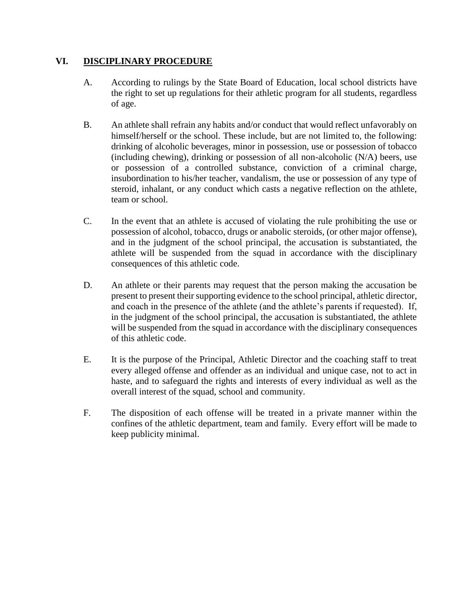# **VI. DISCIPLINARY PROCEDURE**

- A. According to rulings by the State Board of Education, local school districts have the right to set up regulations for their athletic program for all students, regardless of age.
- B. An athlete shall refrain any habits and/or conduct that would reflect unfavorably on himself/herself or the school. These include, but are not limited to, the following: drinking of alcoholic beverages, minor in possession, use or possession of tobacco (including chewing), drinking or possession of all non-alcoholic (N/A) beers, use or possession of a controlled substance, conviction of a criminal charge, insubordination to his/her teacher, vandalism, the use or possession of any type of steroid, inhalant, or any conduct which casts a negative reflection on the athlete, team or school.
- C. In the event that an athlete is accused of violating the rule prohibiting the use or possession of alcohol, tobacco, drugs or anabolic steroids, (or other major offense), and in the judgment of the school principal, the accusation is substantiated, the athlete will be suspended from the squad in accordance with the disciplinary consequences of this athletic code.
- D. An athlete or their parents may request that the person making the accusation be present to present their supporting evidence to the school principal, athletic director, and coach in the presence of the athlete (and the athlete's parents if requested). If, in the judgment of the school principal, the accusation is substantiated, the athlete will be suspended from the squad in accordance with the disciplinary consequences of this athletic code.
- E. It is the purpose of the Principal, Athletic Director and the coaching staff to treat every alleged offense and offender as an individual and unique case, not to act in haste, and to safeguard the rights and interests of every individual as well as the overall interest of the squad, school and community.
- F. The disposition of each offense will be treated in a private manner within the confines of the athletic department, team and family. Every effort will be made to keep publicity minimal.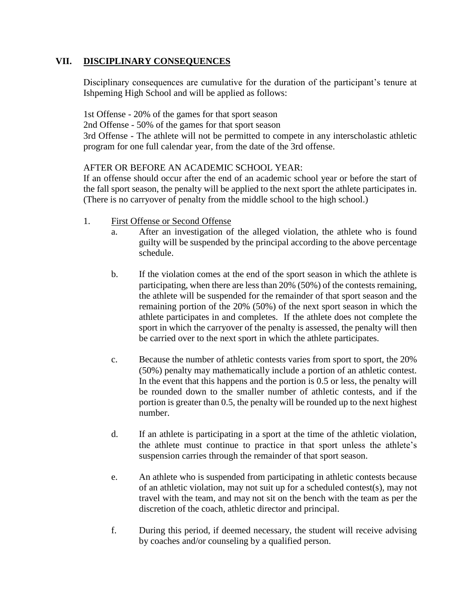## **VII. DISCIPLINARY CONSEQUENCES**

Disciplinary consequences are cumulative for the duration of the participant's tenure at Ishpeming High School and will be applied as follows:

1st Offense - 20% of the games for that sport season

2nd Offense - 50% of the games for that sport season

3rd Offense - The athlete will not be permitted to compete in any interscholastic athletic program for one full calendar year, from the date of the 3rd offense.

### AFTER OR BEFORE AN ACADEMIC SCHOOL YEAR:

If an offense should occur after the end of an academic school year or before the start of the fall sport season, the penalty will be applied to the next sport the athlete participates in. (There is no carryover of penalty from the middle school to the high school.)

- 1. First Offense or Second Offense
	- a. After an investigation of the alleged violation, the athlete who is found guilty will be suspended by the principal according to the above percentage schedule.
	- b. If the violation comes at the end of the sport season in which the athlete is participating, when there are less than 20% (50%) of the contests remaining, the athlete will be suspended for the remainder of that sport season and the remaining portion of the 20% (50%) of the next sport season in which the athlete participates in and completes. If the athlete does not complete the sport in which the carryover of the penalty is assessed, the penalty will then be carried over to the next sport in which the athlete participates.
	- c. Because the number of athletic contests varies from sport to sport, the 20% (50%) penalty may mathematically include a portion of an athletic contest. In the event that this happens and the portion is 0.5 or less, the penalty will be rounded down to the smaller number of athletic contests, and if the portion is greater than 0.5, the penalty will be rounded up to the next highest number.
	- d. If an athlete is participating in a sport at the time of the athletic violation, the athlete must continue to practice in that sport unless the athlete's suspension carries through the remainder of that sport season.
	- e. An athlete who is suspended from participating in athletic contests because of an athletic violation, may not suit up for a scheduled contest(s), may not travel with the team, and may not sit on the bench with the team as per the discretion of the coach, athletic director and principal.
	- f. During this period, if deemed necessary, the student will receive advising by coaches and/or counseling by a qualified person.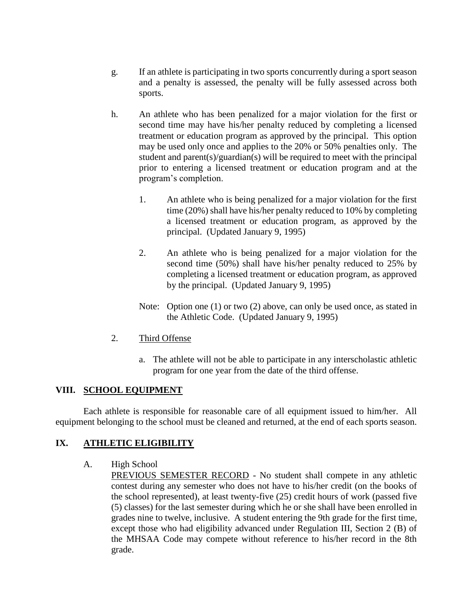- g. If an athlete is participating in two sports concurrently during a sport season and a penalty is assessed, the penalty will be fully assessed across both sports.
- h. An athlete who has been penalized for a major violation for the first or second time may have his/her penalty reduced by completing a licensed treatment or education program as approved by the principal. This option may be used only once and applies to the 20% or 50% penalties only. The student and parent(s)/guardian(s) will be required to meet with the principal prior to entering a licensed treatment or education program and at the program's completion.
	- 1. An athlete who is being penalized for a major violation for the first time (20%) shall have his/her penalty reduced to 10% by completing a licensed treatment or education program, as approved by the principal. (Updated January 9, 1995)
	- 2. An athlete who is being penalized for a major violation for the second time (50%) shall have his/her penalty reduced to 25% by completing a licensed treatment or education program, as approved by the principal. (Updated January 9, 1995)
	- Note: Option one (1) or two (2) above, can only be used once, as stated in the Athletic Code. (Updated January 9, 1995)
- 2. Third Offense
	- a. The athlete will not be able to participate in any interscholastic athletic program for one year from the date of the third offense.

# **VIII. SCHOOL EQUIPMENT**

Each athlete is responsible for reasonable care of all equipment issued to him/her. All equipment belonging to the school must be cleaned and returned, at the end of each sports season.

# **IX. ATHLETIC ELIGIBILITY**

- A. High School
	- PREVIOUS SEMESTER RECORD No student shall compete in any athletic contest during any semester who does not have to his/her credit (on the books of the school represented), at least twenty-five (25) credit hours of work (passed five (5) classes) for the last semester during which he or she shall have been enrolled in grades nine to twelve, inclusive. A student entering the 9th grade for the first time, except those who had eligibility advanced under Regulation III, Section 2 (B) of the MHSAA Code may compete without reference to his/her record in the 8th grade.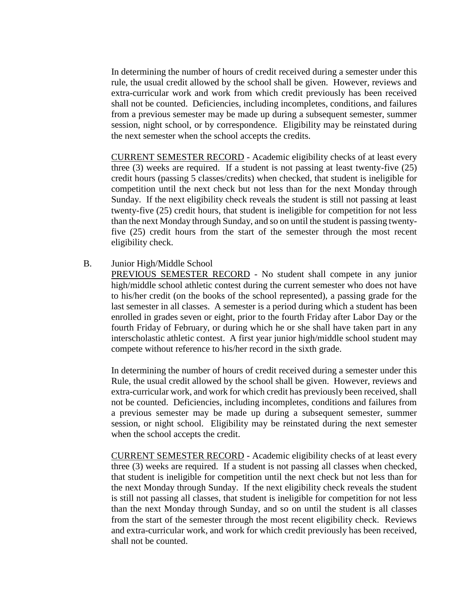In determining the number of hours of credit received during a semester under this rule, the usual credit allowed by the school shall be given. However, reviews and extra-curricular work and work from which credit previously has been received shall not be counted. Deficiencies, including incompletes, conditions, and failures from a previous semester may be made up during a subsequent semester, summer session, night school, or by correspondence. Eligibility may be reinstated during the next semester when the school accepts the credits.

CURRENT SEMESTER RECORD - Academic eligibility checks of at least every three (3) weeks are required. If a student is not passing at least twenty-five (25) credit hours (passing 5 classes/credits) when checked, that student is ineligible for competition until the next check but not less than for the next Monday through Sunday. If the next eligibility check reveals the student is still not passing at least twenty-five (25) credit hours, that student is ineligible for competition for not less than the next Monday through Sunday, and so on until the student is passing twentyfive (25) credit hours from the start of the semester through the most recent eligibility check.

B. Junior High/Middle School

PREVIOUS SEMESTER RECORD - No student shall compete in any junior high/middle school athletic contest during the current semester who does not have to his/her credit (on the books of the school represented), a passing grade for the last semester in all classes. A semester is a period during which a student has been enrolled in grades seven or eight, prior to the fourth Friday after Labor Day or the fourth Friday of February, or during which he or she shall have taken part in any interscholastic athletic contest. A first year junior high/middle school student may compete without reference to his/her record in the sixth grade.

In determining the number of hours of credit received during a semester under this Rule, the usual credit allowed by the school shall be given. However, reviews and extra-curricular work, and work for which credit has previously been received, shall not be counted. Deficiencies, including incompletes, conditions and failures from a previous semester may be made up during a subsequent semester, summer session, or night school. Eligibility may be reinstated during the next semester when the school accepts the credit.

CURRENT SEMESTER RECORD - Academic eligibility checks of at least every three (3) weeks are required. If a student is not passing all classes when checked, that student is ineligible for competition until the next check but not less than for the next Monday through Sunday. If the next eligibility check reveals the student is still not passing all classes, that student is ineligible for competition for not less than the next Monday through Sunday, and so on until the student is all classes from the start of the semester through the most recent eligibility check. Reviews and extra-curricular work, and work for which credit previously has been received, shall not be counted.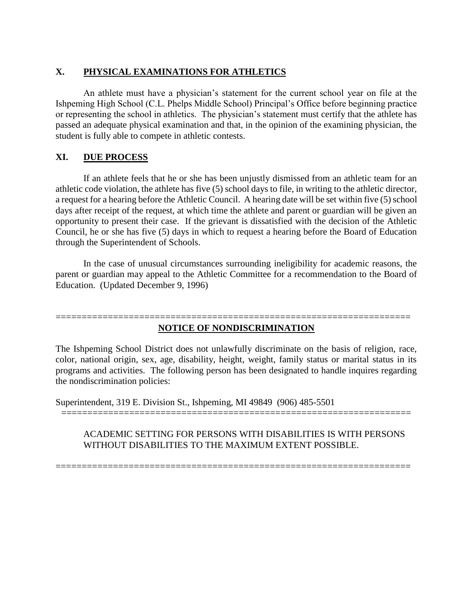# **X. PHYSICAL EXAMINATIONS FOR ATHLETICS**

An athlete must have a physician's statement for the current school year on file at the Ishpeming High School (C.L. Phelps Middle School) Principal's Office before beginning practice or representing the school in athletics. The physician's statement must certify that the athlete has passed an adequate physical examination and that, in the opinion of the examining physician, the student is fully able to compete in athletic contests.

# **XI. DUE PROCESS**

If an athlete feels that he or she has been unjustly dismissed from an athletic team for an athletic code violation, the athlete has five (5) school days to file, in writing to the athletic director, a request for a hearing before the Athletic Council. A hearing date will be set within five (5) school days after receipt of the request, at which time the athlete and parent or guardian will be given an opportunity to present their case. If the grievant is dissatisfied with the decision of the Athletic Council, he or she has five (5) days in which to request a hearing before the Board of Education through the Superintendent of Schools.

In the case of unusual circumstances surrounding ineligibility for academic reasons, the parent or guardian may appeal to the Athletic Committee for a recommendation to the Board of Education. (Updated December 9, 1996)

#### ==================================================================== **NOTICE OF NONDISCRIMINATION**

The Ishpeming School District does not unlawfully discriminate on the basis of religion, race, color, national origin, sex, age, disability, height, weight, family status or marital status in its programs and activities. The following person has been designated to handle inquires regarding the nondiscrimination policies:

===================================================================

Superintendent, 319 E. Division St., Ishpeming, MI 49849 (906) 485-5501

### ACADEMIC SETTING FOR PERSONS WITH DISABILITIES IS WITH PERSONS WITHOUT DISABILITIES TO THE MAXIMUM EXTENT POSSIBLE.

====================================================================